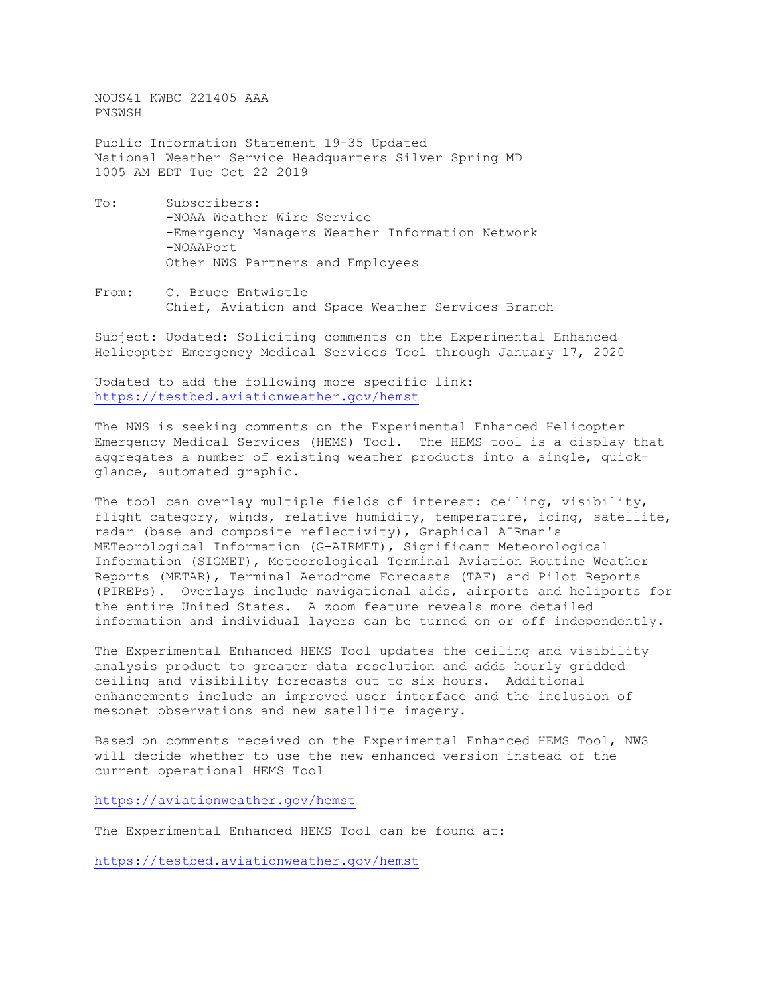NOUS41 KWBC 221405 AAA PNSWSH

Public Information Statement 19-35 Updated National Weather Service Headquarters Silver Spring MD 1005 AM EDT Tue Oct 22 2019

- To: Subscribers: -NOAA Weather Wire Service -Emergency Managers Weather Information Network -NOAAPort Other NWS Partners and Employees
- From: C. Bruce Entwistle Chief, Aviation and Space Weather Services Branch

Subject: Updated: Soliciting comments on the Experimental Enhanced Helicopter Emergency Medical Services Tool through January 17, 2020

Updated to add the following more specific link: <https://testbed.aviationweather.gov/hemst>

The NWS is seeking comments on the Experimental Enhanced Helicopter Emergency Medical Services (HEMS) Tool. The HEMS tool is a display that aggregates a number of existing weather products into a single, quickglance, automated graphic.

The tool can overlay multiple fields of interest: ceiling, visibility, flight category, winds, relative humidity, temperature, icing, satellite, radar (base and composite reflectivity), Graphical AIRman's METeorological Information (G-AIRMET), Significant Meteorological Information (SIGMET), Meteorological Terminal Aviation Routine Weather Reports (METAR), Terminal Aerodrome Forecasts (TAF) and Pilot Reports (PIREPs). Overlays include navigational aids, airports and heliports for the entire United States. A zoom feature reveals more detailed information and individual layers can be turned on or off independently.

The Experimental Enhanced HEMS Tool updates the ceiling and visibility analysis product to greater data resolution and adds hourly gridded ceiling and visibility forecasts out to six hours. Additional enhancements include an improved user interface and the inclusion of mesonet observations and new satellite imagery.

Based on comments received on the Experimental Enhanced HEMS Tool, NWS will decide whether to use the new enhanced version instead of the current operational HEMS Tool

<https://aviationweather.gov/hemst>

The Experimental Enhanced HEMS Tool can be found at:

<https://testbed.aviationweather.gov/hemst>